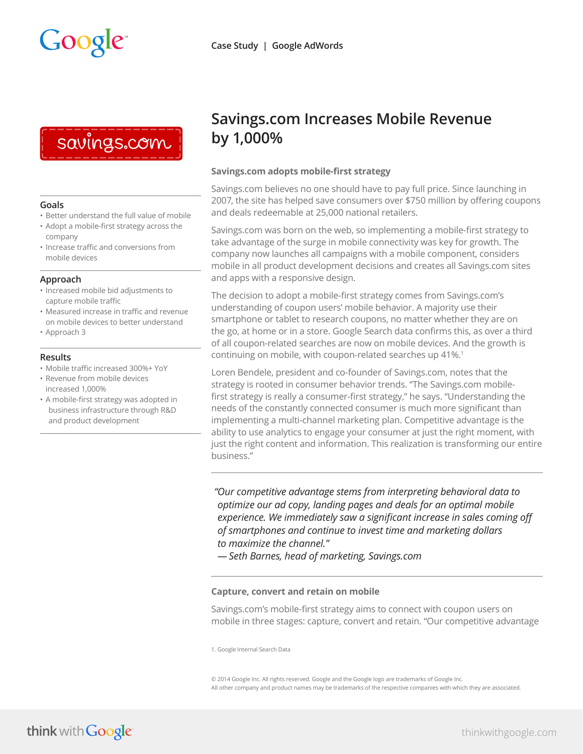# savings.com

# **Goals**

- Better understand the full value of mobile
- Adopt a mobile-first strategy across the company
- Increase traffic and conversions from mobile devices

## **Approach**

- Increased mobile bid adjustments to capture mobile traffic
- Measured increase in traffic and revenue on mobile devices to better understand
- Approach 3

## **Results**

- Mobile traffic increased 300%+ YoY
- Revenue from mobile devices increased 1,000%
- A mobile-first strategy was adopted in business infrastructure through R&D and product development

# **Savings.com Increases Mobile Revenue by 1,000%**

# **Savings.com adopts mobile-first strategy**

Savings.com believes no one should have to pay full price. Since launching in 2007, the site has helped save consumers over \$750 million by offering coupons and deals redeemable at 25,000 national retailers.

Savings.com was born on the web, so implementing a mobile-first strategy to take advantage of the surge in mobile connectivity was key for growth. The company now launches all campaigns with a mobile component, considers mobile in all product development decisions and creates all Savings.com sites and apps with a responsive design.

The decision to adopt a mobile-first strategy comes from Savings.com's understanding of coupon users' mobile behavior. A majority use their smartphone or tablet to research coupons, no matter whether they are on the go, at home or in a store. Google Search data confirms this, as over a third of all coupon-related searches are now on mobile devices. And the growth is continuing on mobile, with coupon-related searches up 41%.<sup>1</sup>

Loren Bendele, president and co-founder of Savings.com, notes that the strategy is rooted in consumer behavior trends. "The Savings.com mobilefirst strategy is really a consumer-first strategy," he says. "Understanding the needs of the constantly connected consumer is much more significant than implementing a multi-channel marketing plan. Competitive advantage is the ability to use analytics to engage your consumer at just the right moment, with just the right content and information. This realization is transforming our entire business."

*"Our competitive advantage stems from interpreting behavioral data to optimize our ad copy, landing pages and deals for an optimal mobile experience. We immediately saw a significant increase in sales coming off of smartphones and continue to invest time and marketing dollars to maximize the channel."*

*— Seth Barnes, head of marketing, Savings.com*

# **Capture, convert and retain on mobile**

Savings.com's mobile-first strategy aims to connect with coupon users on mobile in three stages: capture, convert and retain. "Our competitive advantage

1. Google Internal Search Data

© 2014 Google Inc. All rights reserved. Google and the Google logo are trademarks of Google Inc. All other company and product names may be trademarks of the respective companies with which they are associated.

think with Google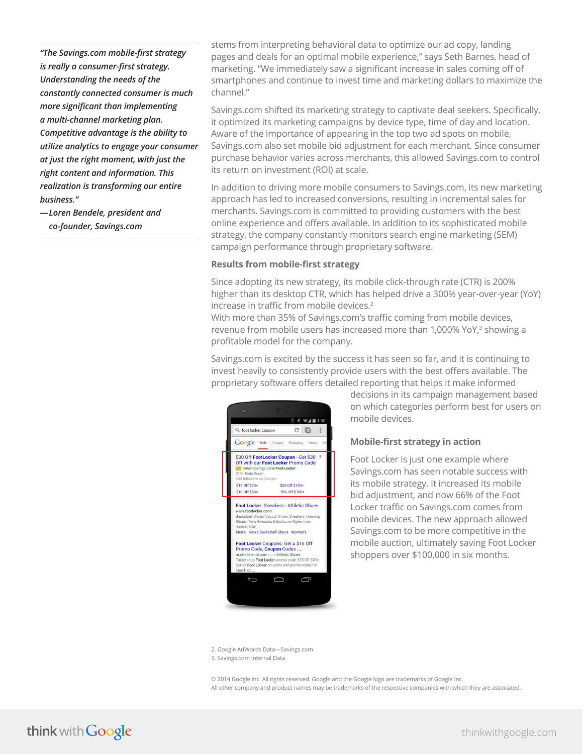*"The Savings.com mobile-first strategy is really a consumer-first strategy. Understanding the needs of the constantly connected consumer is much more significant than implementing a multi-channel marketing plan. Competitive advantage is the ability to utilize analytics to engage your consumer at just the right moment, with just the right content and information. This realization is transforming our entire business."*

*—Loren Bendele, president and co-founder, Savings.com*

stems from interpreting behavioral data to optimize our ad copy, landing pages and deals for an optimal mobile experience," says Seth Barnes, head of marketing. "We immediately saw a significant increase in sales coming off of smartphones and continue to invest time and marketing dollars to maximize the channel."

Savings.com shifted its marketing strategy to captivate deal seekers. Specifically, it optimized its marketing campaigns by device type, time of day and location. Aware of the importance of appearing in the top two ad spots on mobile, Savings.com also set mobile bid adjustment for each merchant. Since consumer purchase behavior varies across merchants, this allowed Savings.com to control its return on investment (ROI) at scale.

In addition to driving more mobile consumers to Savings.com, its new marketing approach has led to increased conversions, resulting in incremental sales for merchants. Savings.com is committed to providing customers with the best online experience and offers available. In addition to its sophisticated mobile strategy, the company constantly monitors search engine marketing (SEM) campaign performance through proprietary software.

# **Results from mobile-first strategy**

Since adopting its new strategy, its mobile click-through rate (CTR) is 200% higher than its desktop CTR, which has helped drive a 300% year-over-year (YoY) increase in traffic from mobile devices.<sup>2</sup>

With more than 35% of Savings.com's traffic coming from mobile devices, revenue from mobile users has increased more than 1,000% YoY,<sup>3</sup> showing a profitable model for the company.

Savings.com is excited by the success it has seen so far, and it is continuing to invest heavily to consistently provide users with the best offers available. The proprietary software offers detailed reporting that helps it make informed



decisions in its campaign management based on which categories perform best for users on mobile devices.

# **Mobile-first strategy in action**

Foot Locker is just one example where Savings.com has seen notable success with its mobile strategy. It increased its mobile bid adjustment, and now 66% of the Foot Locker traffic on Savings.com comes from mobile devices. The new approach allowed Savings.com to be more competitive in the mobile auction, ultimately saving Foot Locker shoppers over \$100,000 in six months.

2. Google AdWords Data—Savings.com 3. Savings.com Internal Data

© 2014 Google Inc. All rights reserved. Google and the Google logo are trademarks of Google Inc. All other company and product names may be trademarks of the respective companies with which they are associated.